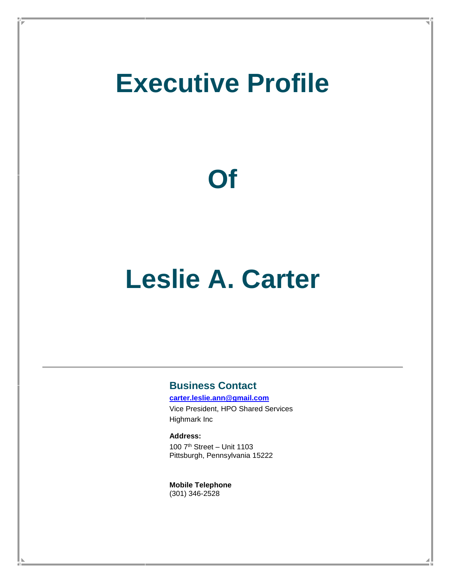# **Executive Profile**

# **Of**

# **Leslie A. Carter**

### **Business Contact**

**[carter.leslie.ann@gmail.com](mailto:carter.leslie.ann@gmail.com)**

Vice President, HPO Shared Services Highmark Inc

**Address:**

100 7th Street – Unit 1103 Pittsburgh, Pennsylvania 15222

**Mobile Telephone** (301) 346-2528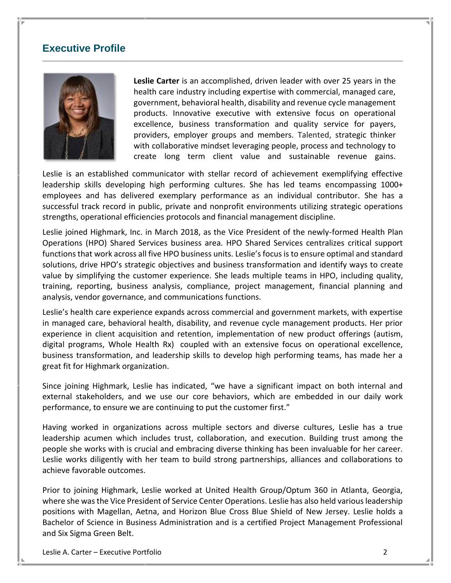#### **Executive Profile**



**Leslie Carter** is an accomplished, driven leader with over 25 years in the health care industry including expertise with commercial, managed care, government, behavioral health, disability and revenue cycle management products. Innovative executive with extensive focus on operational excellence, business transformation and quality service for payers, providers, employer groups and members. Talented, strategic thinker with collaborative mindset leveraging people, process and technology to create long term client value and sustainable revenue gains.

Leslie is an established communicator with stellar record of achievement exemplifying effective leadership skills developing high performing cultures. She has led teams encompassing 1000+ employees and has delivered exemplary performance as an individual contributor. She has a successful track record in public, private and nonprofit environments utilizing strategic operations strengths, operational efficiencies protocols and financial management discipline. communicator with stellar record of achievement exemplifying effective  $l$ eadership skills developed technique developed teams teams that performance the performance of  $l$ 

Leslie joined Highmark, Inc. in March 2018, as the Vice President of the newly-formed Health Plan Operations (HPO) Shared Services business area. HPO Shared Services centralizes critical support functions that work across all five HPO business units. Leslie'sfocus is to ensure optimal and standard solutions, drive HPO's strategic objectives and business transformation and identify ways to create value by simplifying the customer experience. She leads multiple teams in HPO, including quality, training, reporting, business analysis, compliance, project management, financial planning and analysis, vendor governance, and communications functions.

Leslie's health care experience expands across commercial and government markets, with expertise in managed care, behavioral health, disability, and revenue cycle management products. Her prior experience in client acquisition and retention, implementation of new product offerings (autism, digital programs, Whole Health Rx) coupled with an extensive focus on operational excellence, business transformation, and leadership skills to develop high performing teams, has made her a great fit for Highmark organization.

Since joining Highmark, Leslie has indicated, "we have a significant impact on both internal and external stakeholders, and we use our core [behaviors,](https://www.highmarkhealth.org/hmk/about/mvv.shtml) which are embedded in our daily work performance, to ensure we are continuing to put the customer first."

Having worked in organizations across multiple sectors and diverse cultures, Leslie has a true leadership acumen which includes trust, collaboration, and execution. Building trust among the people she works with is crucial and embracing diverse thinking has been invaluable for her career. Leslie works diligently with her team to build strong partnerships, alliances and collaborations to achieve favorable outcomes.

Prior to joining Highmark, Leslie worked at United Health Group/Optum 360 in Atlanta, Georgia, where she was the Vice President of Service Center Operations. Leslie has also held various leadership positions with Magellan, Aetna, and Horizon Blue Cross Blue Shield of New Jersey. Leslie holds a Bachelor of Science in Business Administration and is a certified Project Management Professional and Six Sigma Green Belt.

Leslie A. Carter – Executive Portfolio 2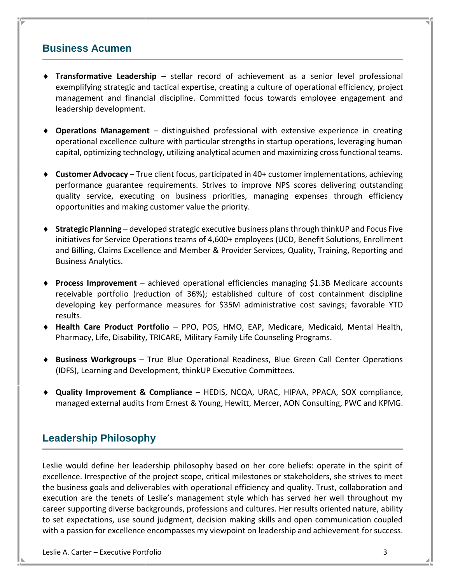### **Business Acumen**

- **Transformative Leadership** stellar record of achievement as a senior level professional exemplifying strategic and tactical expertise, creating a culture of operational efficiency, project management and financial discipline. Committed focus towards employee engagement and leadership development.
- **Operations Management** distinguished professional with extensive experience in creating operational excellence culture with particular strengths in startup operations, leveraging human capital, optimizing technology, utilizing analytical acumen and maximizing crossfunctional teams.
- **Customer Advocacy**  True client focus, participated in 40+ customer implementations, achieving performance guarantee requirements. Strives to improve NPS scores delivering outstanding quality service, executing on business priorities, managing expenses through efficiency opportunities and making customer value the priority.
- **Strategic Planning** developed strategic executive business plans through thinkUP and Focus Five initiatives for Service Operations teams of 4,600+ employees (UCD, Benefit Solutions, Enrollment and Billing, Claims Excellence and Member & Provider Services, Quality, Training, Reporting and Business Analytics.
- **Process Improvement** achieved operational efficiencies managing \$1.3B Medicare accounts receivable portfolio (reduction of 36%); established culture of cost containment discipline developing key performance measures for \$35M administrative cost savings; favorable YTD results.
- **Health Care Product Portfolio** PPO, POS, HMO, EAP, Medicare, Medicaid, Mental Health, Pharmacy, Life, Disability, TRICARE, Military Family Life Counseling Programs.
- **Business Workgroups** True Blue Operational Readiness, Blue Green Call Center Operations (IDFS), Learning and Development, thinkUP Executive Committees.
- **Quality Improvement & Compliance** HEDIS, NCQA, URAC, HIPAA, PPACA, SOX compliance, managed external audits from Ernest & Young, Hewitt, Mercer, AON Consulting, PWC and KPMG.

## **Leadership Philosophy**

Leslie would define her leadership philosophy based on her core beliefs: operate in the spirit of excellence. Irrespective of the project scope, critical milestones or stakeholders, she strives to meet the business goals and deliverables with operational efficiency and quality. Trust, collaboration and execution are the tenets of Leslie's management style which has served her well throughout my career supporting diverse backgrounds, professions and cultures. Her results oriented nature, ability to set expectations, use sound judgment, decision making skills and open communication coupled with a passion for excellence encompasses my viewpoint on leadership and achievement for success.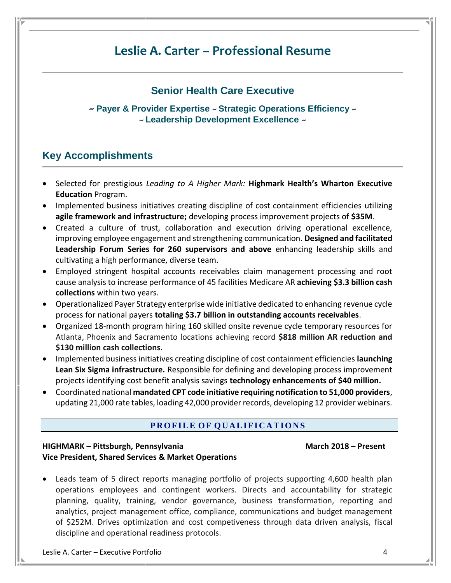# **Leslie A. Carter – Professional Resume**

### **Senior Health Care Executive**

*~* **Payer & Provider Expertise** *~* **Strategic Operations Efficiency** *~ ~* **Leadership Development Excellence** *~*

## **Key Accomplishments**

- Selected for prestigious *Leading to A Higher Mark:* **Highmark Health's Wharton Executive Education** Program.
- Implemented business initiatives creating discipline of cost containment efficiencies utilizing **agile framework and infrastructure;** developing process improvement projects of **\$35M**.
- Created a culture of trust, collaboration and execution driving operational excellence, improving employee engagement and strengthening communication. **Designed and facilitated Leadership Forum Series for 260 supervisors and above** enhancing leadership skills and cultivating a high performance, diverse team.
- Employed stringent hospital accounts receivables claim management processing and root cause analysis to increase performance of 45 facilities Medicare AR **achieving \$3.3 billion cash collections** within two years.
- Operationalized Payer Strategy enterprise wide initiative dedicated to enhancing revenue cycle process for national payers **totaling \$3.7 billion in outstanding accounts receivables**.
- Organized 18-month program hiring 160 skilled onsite revenue cycle temporary resources for Atlanta, Phoenix and Sacramento locations achieving record **\$818 million AR reduction and \$130 million cash collections.**
- Implemented business initiatives creating discipline of cost containment efficiencies **launching Lean Six Sigma infrastructure.** Responsible for defining and developing process improvement projects identifying cost benefit analysis savings **technology enhancements of \$40 million.**
- Coordinated national **mandated CPT code initiative requiring notification to 51,000 providers**, updating 21,000 rate tables, loading 42,000 provider records, developing 12 provider webinars.

#### **PROFILE OF QUALIFICATIONS**

#### **HIGHMARK – Pittsburgh, Pennsylvania March 2018 – Present Vice President, Shared Services & Market Operations**

 Leads team of 5 direct reports managing portfolio of projects supporting 4,600 health plan operations employees and contingent workers. Directs and accountability for strategic planning, quality, training, vendor governance, business transformation, reporting and analytics, project management office, compliance, communications and budget management of \$252M. Drives optimization and cost competiveness through data driven analysis, fiscal discipline and operational readiness protocols.

Leslie A. Carter – Executive Portfolio 4